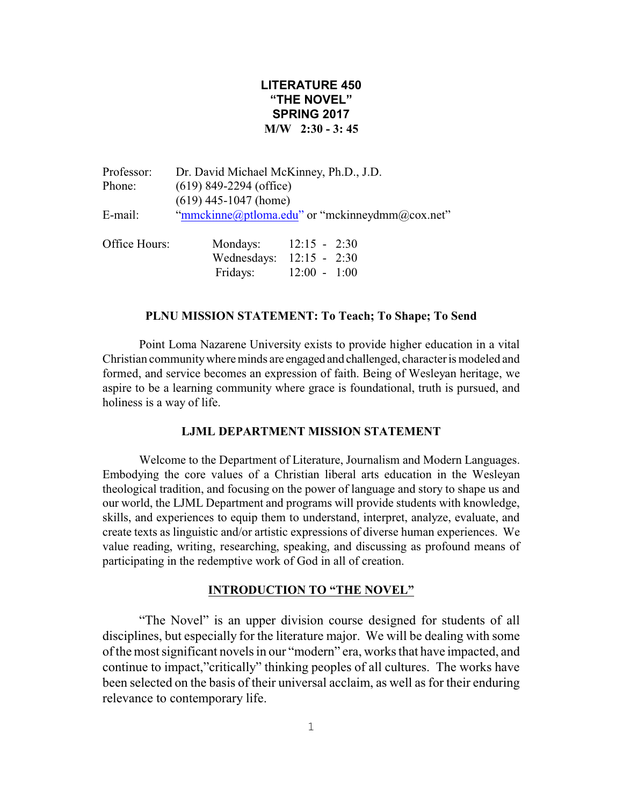# **LITERATURE 450 "THE NOVEL" SPRING 2017 M/W 2:30 - 3: 45**

| Professor:    | Dr. David Michael McKinney, Ph.D., J.D.        |                |  |
|---------------|------------------------------------------------|----------------|--|
| Phone:        | $(619)$ 849-2294 (office)                      |                |  |
|               | $(619)$ 445-1047 (home)                        |                |  |
| E-mail:       | "mmckinne@ptloma.edu" or "mckinneydmm@cox.net" |                |  |
| Office Hours: | Mondays:<br>--- - -                            | $12:15 - 2:30$ |  |

| лпісе тіошу. | <u>iviolidays.</u> | $12.13 - 2.30$             |
|--------------|--------------------|----------------------------|
|              |                    | Wednesdays: $12:15 - 2:30$ |
|              | Fridays:           | $12:00 - 1:00$             |

## **PLNU MISSION STATEMENT: To Teach; To Shape; To Send**

Point Loma Nazarene University exists to provide higher education in a vital Christian communitywhere minds are engaged and challenged, character is modeled and formed, and service becomes an expression of faith. Being of Wesleyan heritage, we aspire to be a learning community where grace is foundational, truth is pursued, and holiness is a way of life.

# **LJML DEPARTMENT MISSION STATEMENT**

Welcome to the Department of Literature, Journalism and Modern Languages. Embodying the core values of a Christian liberal arts education in the Wesleyan theological tradition, and focusing on the power of language and story to shape us and our world, the LJML Department and programs will provide students with knowledge, skills, and experiences to equip them to understand, interpret, analyze, evaluate, and create texts as linguistic and/or artistic expressions of diverse human experiences. We value reading, writing, researching, speaking, and discussing as profound means of participating in the redemptive work of God in all of creation.

### **INTRODUCTION TO "THE NOVEL"**

"The Novel" is an upper division course designed for students of all disciplines, but especially for the literature major. We will be dealing with some of the most significant novels in our "modern" era, works that have impacted, and continue to impact,"critically" thinking peoples of all cultures. The works have been selected on the basis of their universal acclaim, as well as for their enduring relevance to contemporary life.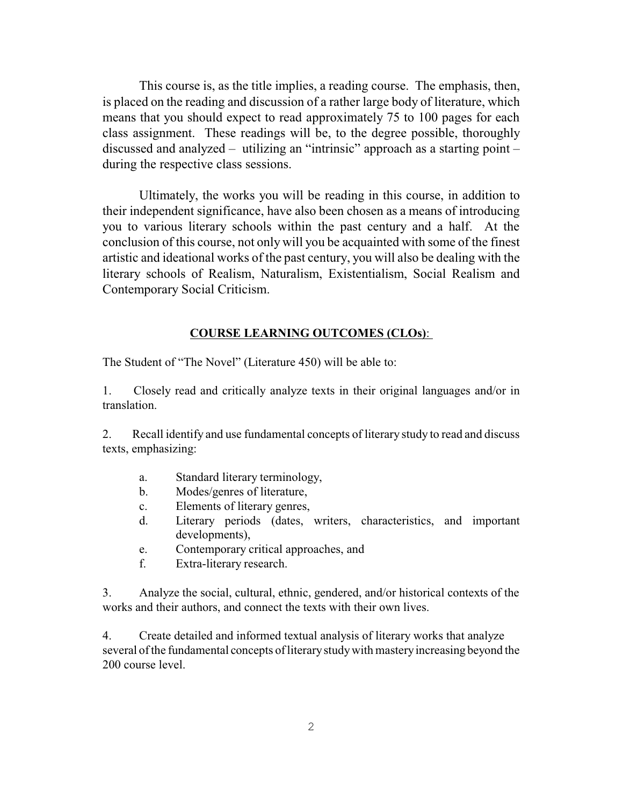This course is, as the title implies, a reading course. The emphasis, then, is placed on the reading and discussion of a rather large body of literature, which means that you should expect to read approximately 75 to 100 pages for each class assignment. These readings will be, to the degree possible, thoroughly discussed and analyzed – utilizing an "intrinsic" approach as a starting point – during the respective class sessions.

Ultimately, the works you will be reading in this course, in addition to their independent significance, have also been chosen as a means of introducing you to various literary schools within the past century and a half. At the conclusion of this course, not only will you be acquainted with some of the finest artistic and ideational works of the past century, you will also be dealing with the literary schools of Realism, Naturalism, Existentialism, Social Realism and Contemporary Social Criticism.

## **COURSE LEARNING OUTCOMES (CLOs)**:

The Student of "The Novel" (Literature 450) will be able to:

1. Closely read and critically analyze texts in their original languages and/or in translation.

2. Recall identify and use fundamental concepts of literary study to read and discuss texts, emphasizing:

- a. Standard literary terminology,
- b. Modes/genres of literature,
- c. Elements of literary genres,
- d. Literary periods (dates, writers, characteristics, and important developments),
- e. Contemporary critical approaches, and
- f. Extra-literary research.

3. Analyze the social, cultural, ethnic, gendered, and/or historical contexts of the works and their authors, and connect the texts with their own lives.

4. Create detailed and informed textual analysis of literary works that analyze several of the fundamental concepts of literarystudywith masteryincreasing beyond the 200 course level.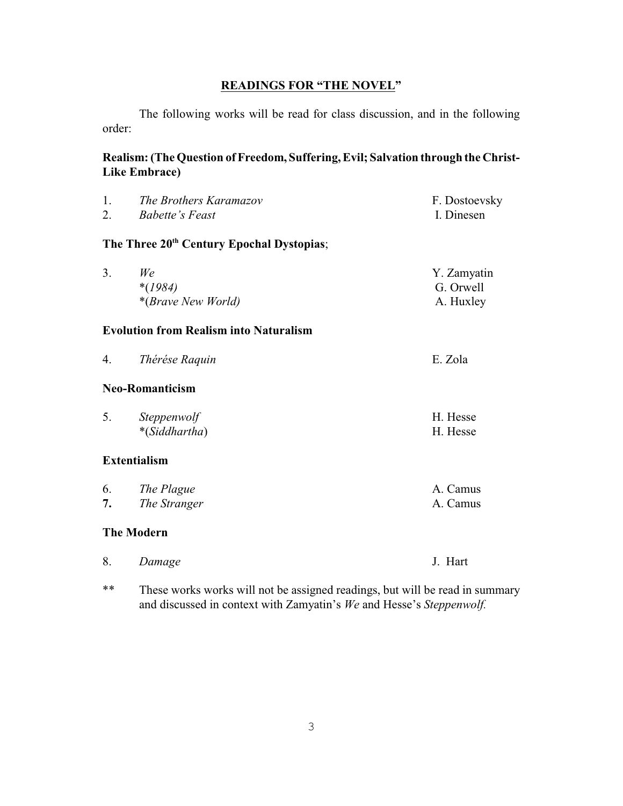# **READINGS FOR "THE NOVEL"**

The following works will be read for class discussion, and in the following order:

# Realism: (The Question of Freedom, Suffering, Evil; Salvation through the Christ-**Like Embrace)**

| 1. | The Brothers Karamazov                                | F. Dostoevsky |
|----|-------------------------------------------------------|---------------|
| 2. | <b>Babette's Feast</b>                                | I. Dinesen    |
|    | The Three 20 <sup>th</sup> Century Epochal Dystopias; |               |
| 3. | We                                                    | Y. Zamyatin   |
|    | $*(1984)$                                             | G. Orwell     |
|    | *(Brave New World)                                    | A. Huxley     |
|    | <b>Evolution from Realism into Naturalism</b>         |               |
| 4. | Thérése Raquin                                        | E. Zola       |
|    | <b>Neo-Romanticism</b>                                |               |
| 5. | Steppenwolf                                           | H. Hesse      |
|    | *(Siddhartha)                                         | H. Hesse      |
|    | <b>Extentialism</b>                                   |               |
| 6. | The Plague                                            | A. Camus      |
| 7. | The Stranger                                          | A. Camus      |
|    | <b>The Modern</b>                                     |               |
| 8. | Damage                                                | J. Hart       |
|    |                                                       |               |

\*\* These works works will not be assigned readings, but will be read in summary and discussed in context with Zamyatin's *We* and Hesse's *Steppenwolf.*